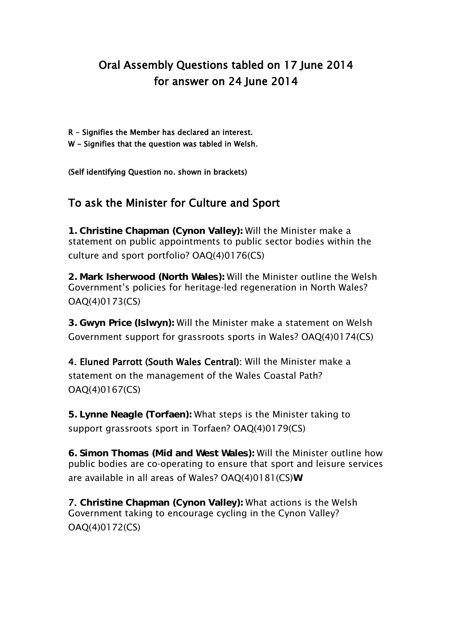## Oral Assembly Questions tabled on 17 June 2014 for answer on 24 June 2014

- R Signifies the Member has declared an interest.
- W Signifies that the question was tabled in Welsh.

(Self identifying Question no. shown in brackets)

## To ask the Minister for Culture and Sport

**1. Christine Chapman (Cynon Valley):** Will the Minister make a statement on public appointments to public sector bodies within the culture and sport portfolio? OAQ(4)0176(CS)

**2. Mark Isherwood (North Wales):** Will the Minister outline the Welsh Government's policies for heritage-led regeneration in North Wales? OAQ(4)0173(CS)

**3. Gwyn Price (Islwyn):** Will the Minister make a statement on Welsh Government support for grassroots sports in Wales? OAQ(4)0174(CS)

4. Eluned Parrott (South Wales Central): Will the Minister make a statement on the management of the Wales Coastal Path? OAQ(4)0167(CS)

**5. Lynne Neagle (Torfaen):** What steps is the Minister taking to support grassroots sport in Torfaen? OAQ(4)0179(CS)

**6. Simon Thomas (Mid and West Wales):** Will the Minister outline how public bodies are co-operating to ensure that sport and leisure services are available in all areas of Wales? OAQ(4)0181(CS)**W**

7. **Christine Chapman (Cynon Valley):** What actions is the Welsh Government taking to encourage cycling in the Cynon Valley? OAQ(4)0172(CS)